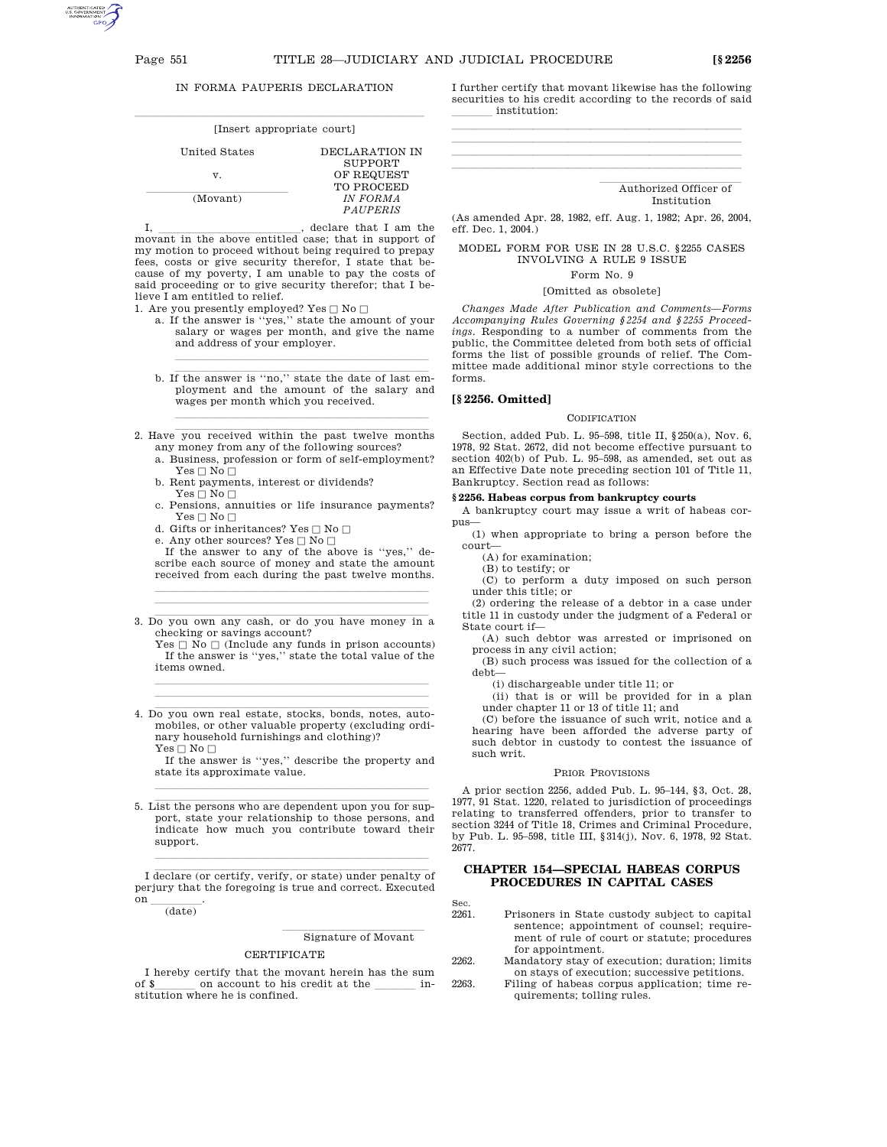# IN FORMA PAUPERIS DECLARATION

| [Insert appropriate court] |                                    |
|----------------------------|------------------------------------|
| United States              | DECLARATION IN<br>SUPPORT          |
| v.                         | OF REQUEST<br><b>TO PROCEED</b>    |
| (Movant)                   | <i>IN FORMA</i><br><b>PAUPERIS</b> |

I, \_\_\_\_\_\_\_\_\_\_\_\_\_\_\_\_\_\_\_\_\_\_, declare that I am the movant in the above entitled case; that in support of my motion to proceed without being required to prepay fees, costs or give security therefor, I state that because of my poverty, I am unable to pay the costs of said proceeding or to give security therefor; that I believe I am entitled to relief.

1. Are you presently employed? Yes  $\Box$  No  $\Box$ <br>a. If the answer is "yes," state the amount of your salary or wages per month, and give the name and address of your employer.

lllllllllllllllllllllllll

- b. If the answer is "no," state the date of last employment and the amount of the salary and wages per month which you received. lllllllllllllllllllllllll
- 2. Have you received within the past twelve months any money from any of the following sources?
	- a. Business, profession or form of self-employment?  $Yes \sqcap No \sqcap$
	- b. Rent payments, interest or dividends?  $Yes \sqcap No \sqcap$
	- c. Pensions, annuities or life insurance payments?  $Yes \sqcap No \sqcap$
	- d. Gifts or inheritances? Yes $\Box$  No  $\Box$
	- e. Any other sources? Yes $\Box$  No  $\Box$

If the answer to any of the above is ''yes,'' describe each source of money and state the amount received from each during the past twelve months. lllllllllllllllllllllllllll

lllllllllllllllllllllllllll

 $\overline{3.}$  Do you own any cash, or do you have money in a checking or savings account?

Yes  $\Box$  No  $\Box$  (Include any funds in prison accounts) If the answer is ''yes,'' state the total value of the items owned. lllllllllllllllllllllllllll

lllllllllllllllllllllllllll lllllllllllllllllllllllllll

4. Do you own real estate, stocks, bonds, notes, automobiles, or other valuable property (excluding ordinary household furnishings and clothing)?  $\mathbf{Yes} \ \square \ \mathbf{No} \ \square$ 

If the answer is ''yes,'' describe the property and state its approximate value. lllllllllllllllllllllllllll

lllllllllllllllllllllllllll

5. List the persons who are dependent upon you for support, state your relationship to those persons, and indicate how much you contribute toward their support.

lllllllllllllllllllllllllll

I declare (or certify, verify, or state) under penalty of perjury that the foregoing is true and correct. Executed on

(date)

#### llllllllllllll Signature of Movant

#### CERTIFICATE

I hereby certify that the movant herein has the sum<br>on account to his credit at the inof  $\sin \theta$  on account to his credit at the stitution where he is confined.

I further certify that movant likewise has the following securities to his credit according to the records of said institution:

lllalla llillla som av den starte som av den starte som av den starte som av den starte som av den starte som lllalla llillla som av den starte som av den starte som av den starte som av den starte som av den starte som lllalla llillla som av den starte som av den starte som av den starte som av den starte som av den starte som lllalla llillla som av den starte som av den starte som av den starte som av den starte som av den starte som

> Authorized Officer of Institution

(As amended Apr. 28, 1982, eff. Aug. 1, 1982; Apr. 26, 2004, eff. Dec. 1, 2004.)

### MODEL FORM FOR USE IN 28 U.S.C. §2255 CASES INVOLVING A RULE 9 ISSUE

### Form No. 9

[Omitted as obsolete]

*Changes Made After Publication and Comments—Forms Accompanying Rules Governing §2254 and §2255 Proceedings*. Responding to a number of comments from the public, the Committee deleted from both sets of official forms the list of possible grounds of relief. The Committee made additional minor style corrections to the forms.

### **[§ 2256. Omitted]**

#### **CODIFICATION**

Section, added Pub. L. 95–598, title II, §250(a), Nov. 6, 1978, 92 Stat. 2672, did not become effective pursuant to section 402(b) of Pub. L. 95–598, as amended, set out as an Effective Date note preceding section 101 of Title 11, Bankruptcy. Section read as follows:

#### **§ 2256. Habeas corpus from bankruptcy courts**

A bankruptcy court may issue a writ of habeas corpus—

(1) when appropriate to bring a person before the court—

(A) for examination;

(B) to testify; or

(C) to perform a duty imposed on such person under this title; or

(2) ordering the release of a debtor in a case under title 11 in custody under the judgment of a Federal or State court if—

(A) such debtor was arrested or imprisoned on process in any civil action;

(B) such process was issued for the collection of a debt—

(i) dischargeable under title 11; or

(ii) that is or will be provided for in a plan under chapter 11 or 13 of title 11; and

(C) before the issuance of such writ, notice and a hearing have been afforded the adverse party of such debtor in custody to contest the issuance of such writ.

#### PRIOR PROVISIONS

A prior section 2256, added Pub. L. 95–144, §3, Oct. 28, 1977, 91 Stat. 1220, related to jurisdiction of proceedings relating to transferred offenders, prior to transfer to section 3244 of Title 18, Crimes and Criminal Procedure, by Pub. L. 95–598, title III, §314(j), Nov. 6, 1978, 92 Stat. 2677.

# **CHAPTER 154—SPECIAL HABEAS CORPUS PROCEDURES IN CAPITAL CASES**

Sec.<br>2261

- Prisoners in State custody subject to capital sentence; appointment of counsel; requirement of rule of court or statute; procedures for appointment.
- 2262. Mandatory stay of execution; duration; limits on stays of execution; successive petitions.
- 2263. Filing of habeas corpus application; time requirements; tolling rules.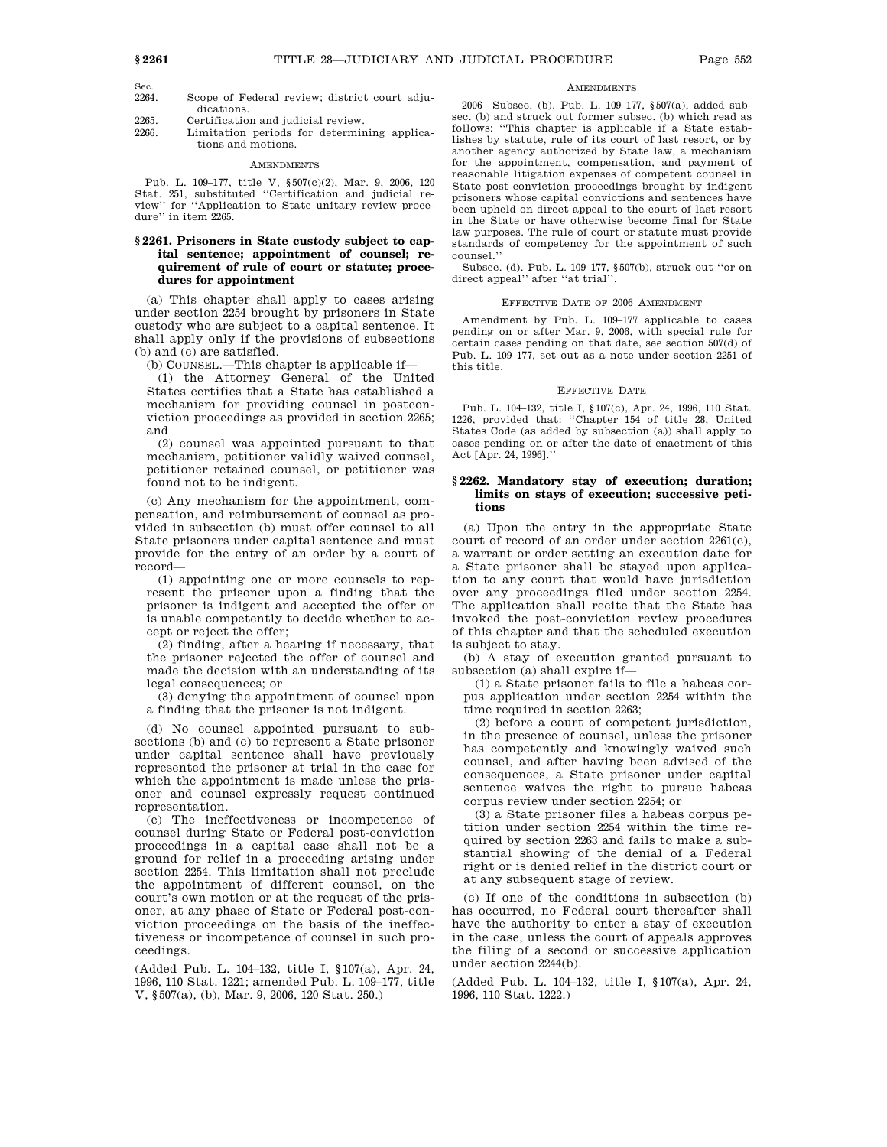dications.

| 2265. | Certification and judicial review. |  |                                             |  |
|-------|------------------------------------|--|---------------------------------------------|--|
| 2266. |                                    |  | Limitation periods for determining applica- |  |
|       | tions and motions.                 |  |                                             |  |

# AMENDMENTS

Pub. L. 109–177, title V, §507(c)(2), Mar. 9, 2006, 120 Stat. 251, substituted ''Certification and judicial review'' for ''Application to State unitary review procedure" in item 2265.

# **§ 2261. Prisoners in State custody subject to capital sentence; appointment of counsel; requirement of rule of court or statute; procedures for appointment**

(a) This chapter shall apply to cases arising under section 2254 brought by prisoners in State custody who are subject to a capital sentence. It shall apply only if the provisions of subsections (b) and (c) are satisfied.

(b) COUNSEL.—This chapter is applicable if—

(1) the Attorney General of the United States certifies that a State has established a mechanism for providing counsel in postconviction proceedings as provided in section 2265; and

(2) counsel was appointed pursuant to that mechanism, petitioner validly waived counsel, petitioner retained counsel, or petitioner was found not to be indigent.

(c) Any mechanism for the appointment, compensation, and reimbursement of counsel as provided in subsection (b) must offer counsel to all State prisoners under capital sentence and must provide for the entry of an order by a court of record—

(1) appointing one or more counsels to represent the prisoner upon a finding that the prisoner is indigent and accepted the offer or is unable competently to decide whether to accept or reject the offer;

(2) finding, after a hearing if necessary, that the prisoner rejected the offer of counsel and made the decision with an understanding of its legal consequences; or

(3) denying the appointment of counsel upon a finding that the prisoner is not indigent.

(d) No counsel appointed pursuant to subsections (b) and (c) to represent a State prisoner under capital sentence shall have previously represented the prisoner at trial in the case for which the appointment is made unless the prisoner and counsel expressly request continued representation.

(e) The ineffectiveness or incompetence of counsel during State or Federal post-conviction proceedings in a capital case shall not be a ground for relief in a proceeding arising under section 2254. This limitation shall not preclude the appointment of different counsel, on the court's own motion or at the request of the prisoner, at any phase of State or Federal post-conviction proceedings on the basis of the ineffectiveness or incompetence of counsel in such proceedings.

(Added Pub. L. 104–132, title I, §107(a), Apr. 24, 1996, 110 Stat. 1221; amended Pub. L. 109–177, title V, §507(a), (b), Mar. 9, 2006, 120 Stat. 250.)

## **AMENDMENTS**

2006—Subsec. (b). Pub. L. 109–177, §507(a), added subsec. (b) and struck out former subsec. (b) which read as follows: ''This chapter is applicable if a State establishes by statute, rule of its court of last resort, or by another agency authorized by State law, a mechanism for the appointment, compensation, and payment of reasonable litigation expenses of competent counsel in State post-conviction proceedings brought by indigent prisoners whose capital convictions and sentences have been upheld on direct appeal to the court of last resort in the State or have otherwise become final for State law purposes. The rule of court or statute must provide standards of competency for the appointment of such counsel.''

Subsec. (d). Pub. L. 109–177, §507(b), struck out ''or on direct appeal'' after ''at trial''.

# EFFECTIVE DATE OF 2006 AMENDMENT

Amendment by Pub. L. 109–177 applicable to cases pending on or after Mar. 9, 2006, with special rule for certain cases pending on that date, see section 507(d) of Pub. L. 109–177, set out as a note under section 2251 of this title.

### EFFECTIVE DATE

Pub. L. 104–132, title I, §107(c), Apr. 24, 1996, 110 Stat. 1226, provided that: ''Chapter 154 of title 28, United States Code (as added by subsection (a)) shall apply to cases pending on or after the date of enactment of this Act [Apr. 24, 1996].''

## **§ 2262. Mandatory stay of execution; duration; limits on stays of execution; successive petitions**

(a) Upon the entry in the appropriate State court of record of an order under section  $2261(c)$ a warrant or order setting an execution date for a State prisoner shall be stayed upon application to any court that would have jurisdiction over any proceedings filed under section 2254. The application shall recite that the State has invoked the post-conviction review procedures of this chapter and that the scheduled execution is subject to stay.

(b) A stay of execution granted pursuant to subsection (a) shall expire if—

(1) a State prisoner fails to file a habeas corpus application under section 2254 within the time required in section 2263;

(2) before a court of competent jurisdiction, in the presence of counsel, unless the prisoner has competently and knowingly waived such counsel, and after having been advised of the consequences, a State prisoner under capital sentence waives the right to pursue habeas corpus review under section 2254; or

(3) a State prisoner files a habeas corpus petition under section 2254 within the time required by section 2263 and fails to make a substantial showing of the denial of a Federal right or is denied relief in the district court or at any subsequent stage of review.

(c) If one of the conditions in subsection (b) has occurred, no Federal court thereafter shall have the authority to enter a stay of execution in the case, unless the court of appeals approves the filing of a second or successive application under section 2244(b).

(Added Pub. L. 104–132, title I, §107(a), Apr. 24, 1996, 110 Stat. 1222.)

Sec.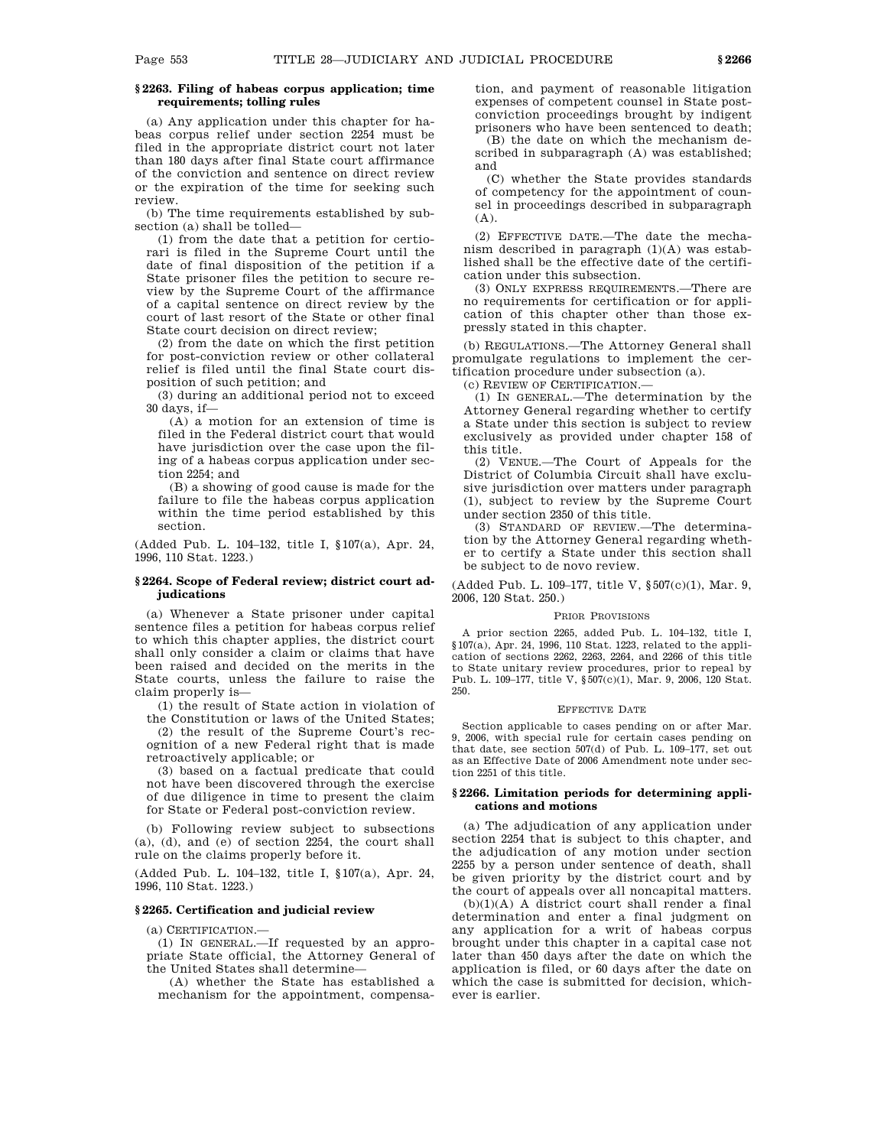# **§ 2263. Filing of habeas corpus application; time requirements; tolling rules**

(a) Any application under this chapter for habeas corpus relief under section 2254 must be filed in the appropriate district court not later than 180 days after final State court affirmance of the conviction and sentence on direct review or the expiration of the time for seeking such review.

(b) The time requirements established by subsection (a) shall be tolled—

(1) from the date that a petition for certiorari is filed in the Supreme Court until the date of final disposition of the petition if a State prisoner files the petition to secure review by the Supreme Court of the affirmance of a capital sentence on direct review by the court of last resort of the State or other final State court decision on direct review;

(2) from the date on which the first petition for post-conviction review or other collateral relief is filed until the final State court disposition of such petition; and

(3) during an additional period not to exceed 30 days, if—

(A) a motion for an extension of time is filed in the Federal district court that would have jurisdiction over the case upon the filing of a habeas corpus application under section 2254; and

(B) a showing of good cause is made for the failure to file the habeas corpus application within the time period established by this section.

(Added Pub. L. 104–132, title I, §107(a), Apr. 24, 1996, 110 Stat. 1223.)

## **§ 2264. Scope of Federal review; district court adjudications**

(a) Whenever a State prisoner under capital sentence files a petition for habeas corpus relief to which this chapter applies, the district court shall only consider a claim or claims that have been raised and decided on the merits in the State courts, unless the failure to raise the claim properly is—

(1) the result of State action in violation of the Constitution or laws of the United States;

(2) the result of the Supreme Court's recognition of a new Federal right that is made retroactively applicable; or

(3) based on a factual predicate that could not have been discovered through the exercise of due diligence in time to present the claim for State or Federal post-conviction review.

(b) Following review subject to subsections (a), (d), and (e) of section 2254, the court shall rule on the claims properly before it.

(Added Pub. L. 104–132, title I, §107(a), Apr. 24, 1996, 110 Stat. 1223.)

# **§ 2265. Certification and judicial review**

(a) CERTIFICATION.—

(1) IN GENERAL.—If requested by an appropriate State official, the Attorney General of the United States shall determine—

(A) whether the State has established a mechanism for the appointment, compensation, and payment of reasonable litigation expenses of competent counsel in State postconviction proceedings brought by indigent prisoners who have been sentenced to death;

(B) the date on which the mechanism described in subparagraph (A) was established; and

(C) whether the State provides standards of competency for the appointment of counsel in proceedings described in subparagraph (A).

(2) EFFECTIVE DATE.—The date the mechanism described in paragraph (1)(A) was established shall be the effective date of the certification under this subsection.

(3) ONLY EXPRESS REQUIREMENTS.—There are no requirements for certification or for application of this chapter other than those expressly stated in this chapter.

(b) REGULATIONS.—The Attorney General shall promulgate regulations to implement the certification procedure under subsection (a).

(c) REVIEW OF CERTIFICATION.—

(1) IN GENERAL.—The determination by the Attorney General regarding whether to certify a State under this section is subject to review exclusively as provided under chapter 158 of this title.

(2) VENUE.—The Court of Appeals for the District of Columbia Circuit shall have exclusive jurisdiction over matters under paragraph (1), subject to review by the Supreme Court under section 2350 of this title.

(3) STANDARD OF REVIEW.—The determination by the Attorney General regarding whether to certify a State under this section shall be subject to de novo review.

(Added Pub. L. 109–177, title V, §507(c)(1), Mar. 9, 2006, 120 Stat. 250.)

### PRIOR PROVISIONS

A prior section 2265, added Pub. L. 104–132, title I, §107(a), Apr. 24, 1996, 110 Stat. 1223, related to the application of sections 2262, 2263, 2264, and 2266 of this title to State unitary review procedures, prior to repeal by Pub. L. 109–177, title V, §507(c)(1), Mar. 9, 2006, 120 Stat. 250.

#### EFFECTIVE DATE

Section applicable to cases pending on or after Mar. 9, 2006, with special rule for certain cases pending on that date, see section 507(d) of Pub. L. 109–177, set out as an Effective Date of 2006 Amendment note under section 2251 of this title.

## **§ 2266. Limitation periods for determining applications and motions**

(a) The adjudication of any application under section 2254 that is subject to this chapter, and the adjudication of any motion under section 2255 by a person under sentence of death, shall be given priority by the district court and by the court of appeals over all noncapital matters.

 $(b)(1)(A)$  A district court shall render a final determination and enter a final judgment on any application for a writ of habeas corpus brought under this chapter in a capital case not later than 450 days after the date on which the application is filed, or 60 days after the date on which the case is submitted for decision, whichever is earlier.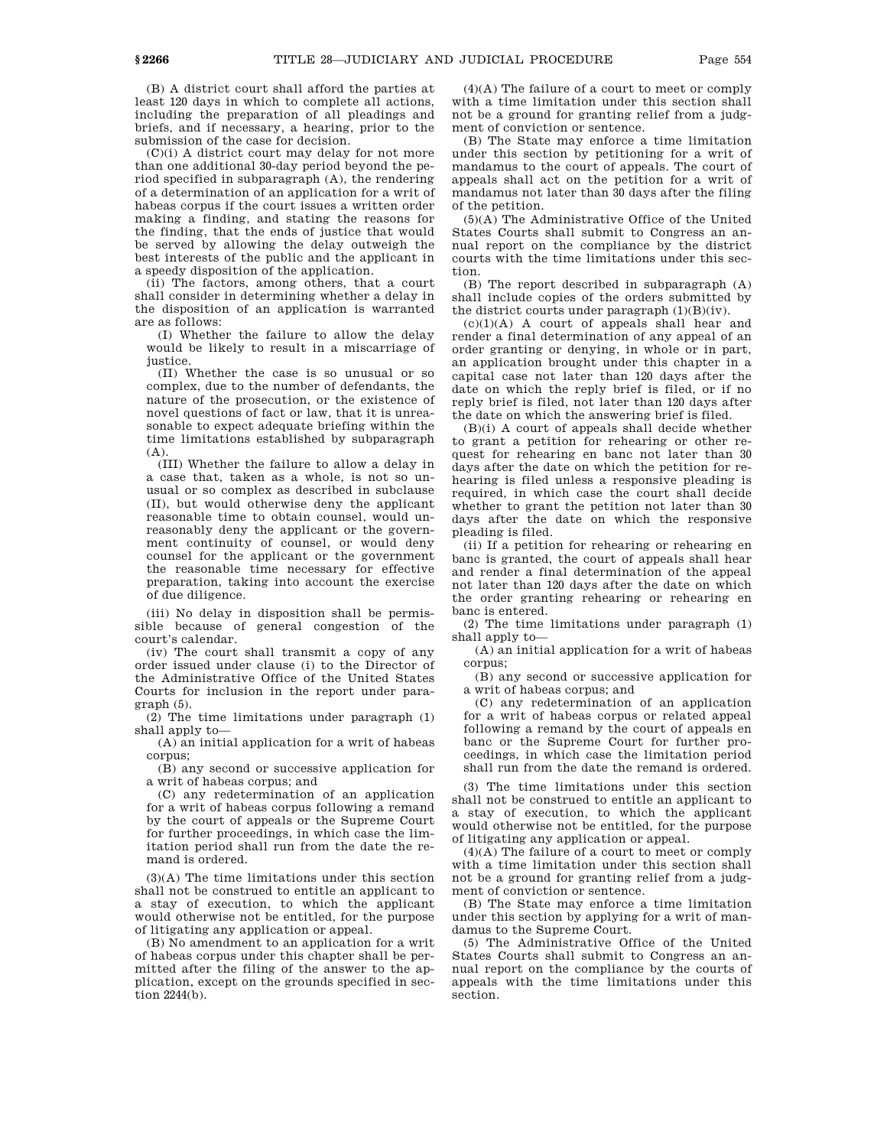(B) A district court shall afford the parties at least 120 days in which to complete all actions, including the preparation of all pleadings and briefs, and if necessary, a hearing, prior to the submission of the case for decision.

(C)(i) A district court may delay for not more than one additional 30-day period beyond the period specified in subparagraph (A), the rendering of a determination of an application for a writ of habeas corpus if the court issues a written order making a finding, and stating the reasons for the finding, that the ends of justice that would be served by allowing the delay outweigh the best interests of the public and the applicant in a speedy disposition of the application.

(ii) The factors, among others, that a court shall consider in determining whether a delay in the disposition of an application is warranted are as follows:

(I) Whether the failure to allow the delay would be likely to result in a miscarriage of justice.

(II) Whether the case is so unusual or so complex, due to the number of defendants, the nature of the prosecution, or the existence of novel questions of fact or law, that it is unreasonable to expect adequate briefing within the time limitations established by subparagraph  $(A)$ 

(III) Whether the failure to allow a delay in a case that, taken as a whole, is not so unusual or so complex as described in subclause (II), but would otherwise deny the applicant reasonable time to obtain counsel, would unreasonably deny the applicant or the government continuity of counsel, or would deny counsel for the applicant or the government the reasonable time necessary for effective preparation, taking into account the exercise of due diligence.

(iii) No delay in disposition shall be permissible because of general congestion of the court's calendar.

(iv) The court shall transmit a copy of any order issued under clause (i) to the Director of the Administrative Office of the United States Courts for inclusion in the report under paragraph (5).

(2) The time limitations under paragraph (1) shall apply to—

(A) an initial application for a writ of habeas corpus;

(B) any second or successive application for a writ of habeas corpus; and

(C) any redetermination of an application for a writ of habeas corpus following a remand by the court of appeals or the Supreme Court for further proceedings, in which case the limitation period shall run from the date the remand is ordered.

(3)(A) The time limitations under this section shall not be construed to entitle an applicant to a stay of execution, to which the applicant would otherwise not be entitled, for the purpose of litigating any application or appeal.

(B) No amendment to an application for a writ of habeas corpus under this chapter shall be permitted after the filing of the answer to the application, except on the grounds specified in section 2244(b).

(4)(A) The failure of a court to meet or comply with a time limitation under this section shall not be a ground for granting relief from a judgment of conviction or sentence.

(B) The State may enforce a time limitation under this section by petitioning for a writ of mandamus to the court of appeals. The court of appeals shall act on the petition for a writ of mandamus not later than 30 days after the filing of the petition.

(5)(A) The Administrative Office of the United States Courts shall submit to Congress an annual report on the compliance by the district courts with the time limitations under this section.

(B) The report described in subparagraph (A) shall include copies of the orders submitted by the district courts under paragraph  $(1)(B)(iv)$ .

(c)(1)(A) A court of appeals shall hear and render a final determination of any appeal of an order granting or denying, in whole or in part, an application brought under this chapter in a capital case not later than 120 days after the date on which the reply brief is filed, or if no reply brief is filed, not later than 120 days after the date on which the answering brief is filed.

(B)(i) A court of appeals shall decide whether to grant a petition for rehearing or other request for rehearing en banc not later than 30 days after the date on which the petition for rehearing is filed unless a responsive pleading is required, in which case the court shall decide whether to grant the petition not later than 30 days after the date on which the responsive pleading is filed.

(ii) If a petition for rehearing or rehearing en banc is granted, the court of appeals shall hear and render a final determination of the appeal not later than 120 days after the date on which the order granting rehearing or rehearing en banc is entered.

(2) The time limitations under paragraph (1) shall apply to—

(A) an initial application for a writ of habeas corpus;

(B) any second or successive application for a writ of habeas corpus; and

(C) any redetermination of an application for a writ of habeas corpus or related appeal following a remand by the court of appeals en banc or the Supreme Court for further proceedings, in which case the limitation period shall run from the date the remand is ordered.

(3) The time limitations under this section shall not be construed to entitle an applicant to a stay of execution, to which the applicant would otherwise not be entitled, for the purpose of litigating any application or appeal.

(4)(A) The failure of a court to meet or comply with a time limitation under this section shall not be a ground for granting relief from a judgment of conviction or sentence.

(B) The State may enforce a time limitation under this section by applying for a writ of mandamus to the Supreme Court.

(5) The Administrative Office of the United States Courts shall submit to Congress an annual report on the compliance by the courts of appeals with the time limitations under this section.